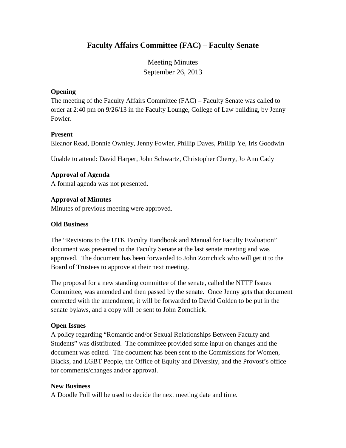# **Faculty Affairs Committee (FAC) – Faculty Senate**

Meeting Minutes September 26, 2013

# **Opening**

The meeting of the Faculty Affairs Committee (FAC) – Faculty Senate was called to order at 2:40 pm on 9/26/13 in the Faculty Lounge, College of Law building, by Jenny Fowler.

## **Present**

Eleanor Read, Bonnie Ownley, Jenny Fowler, Phillip Daves, Phillip Ye, Iris Goodwin

Unable to attend: David Harper, John Schwartz, Christopher Cherry, Jo Ann Cady

# **Approval of Agenda**

A formal agenda was not presented.

## **Approval of Minutes**

Minutes of previous meeting were approved.

## **Old Business**

The "Revisions to the UTK Faculty Handbook and Manual for Faculty Evaluation" document was presented to the Faculty Senate at the last senate meeting and was approved. The document has been forwarded to John Zomchick who will get it to the Board of Trustees to approve at their next meeting.

The proposal for a new standing committee of the senate, called the NTTF Issues Committee, was amended and then passed by the senate. Once Jenny gets that document corrected with the amendment, it will be forwarded to David Golden to be put in the senate bylaws, and a copy will be sent to John Zomchick.

# **Open Issues**

A policy regarding "Romantic and/or Sexual Relationships Between Faculty and Students" was distributed. The committee provided some input on changes and the document was edited. The document has been sent to the Commissions for Women, Blacks, and LGBT People, the Office of Equity and Diversity, and the Provost's office for comments/changes and/or approval.

## **New Business**

A Doodle Poll will be used to decide the next meeting date and time.